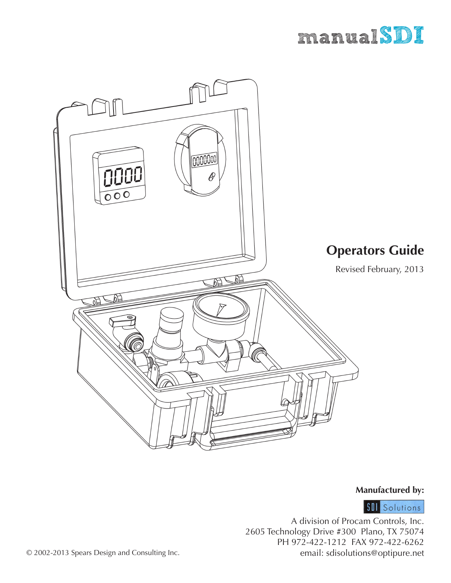



### **Manufactured by:**

**SII** Solutions

*1* email: sdisolutions@optipure.netA division of Procam Controls, Inc. 2605 Technology Drive #300 Plano, TX 75074 PH 972-422-1212 FAX 972-422-6262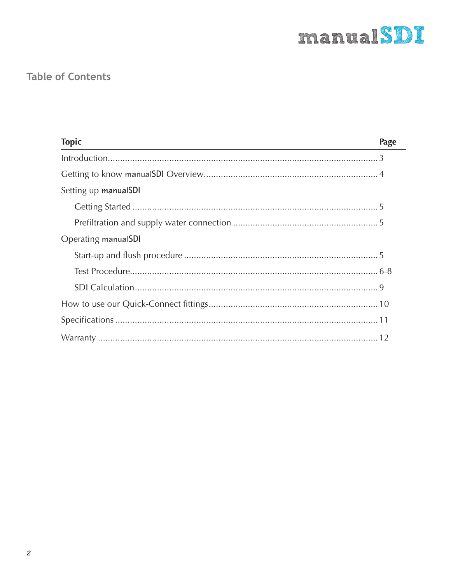

# **Table of Contents**

| <b>Topic</b>         | Page |
|----------------------|------|
|                      |      |
|                      |      |
| Setting up manualSDI |      |
|                      |      |
|                      |      |
| Operating manualSDI  |      |
|                      |      |
|                      |      |
|                      |      |
|                      |      |
|                      |      |
|                      |      |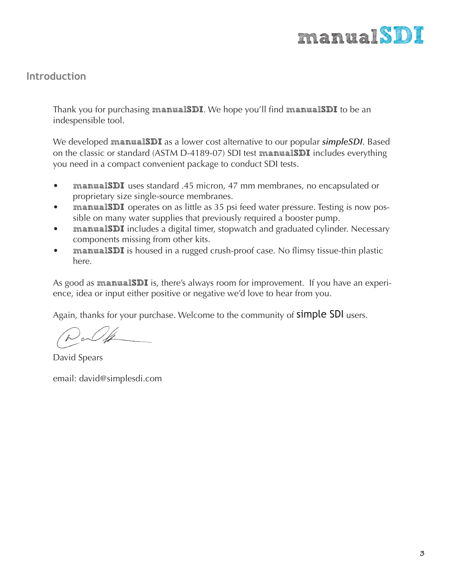

## **Introduction**

Thank you for purchasing **manualSDI**. We hope you'll find **manualSDI** to be an indespensible tool.

We developed **manualSDI** as a lower cost alternative to our popular *simpleSDI*. Based on the classic or standard (ASTM D-4189-07) SDI test **manualSDI** includes everything you need in a compact convenient package to conduct SDI tests.

- **manualSDI** uses standard .45 micron, 47 mm membranes, no encapsulated or proprietary size single-source membranes.
- **manualSDI** operates on as little as 35 psi feed water pressure. Testing is now possible on many water supplies that previously required a booster pump.
- **manualSDI** includes a digital timer, stopwatch and graduated cylinder. Necessary components missing from other kits.
- **manualSDI** is housed in a rugged crush-proof case. No flimsy tissue-thin plastic here.

As good as **manualSDI** is, there's always room for improvement. If you have an experience, idea or input either positive or negative we'd love to hear from you.

Again, thanks for your purchase. Welcome to the community of **simple SDI** users.

 $\partial_c$ 

David Spears

email: david@simplesdi.com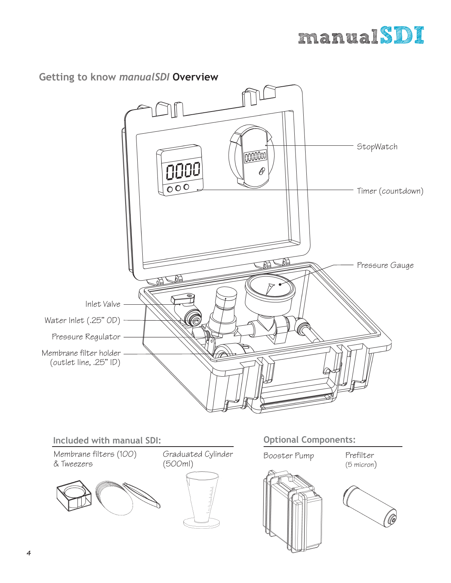

### **Getting to know** *manualSDI* **Overview**





(5 micron)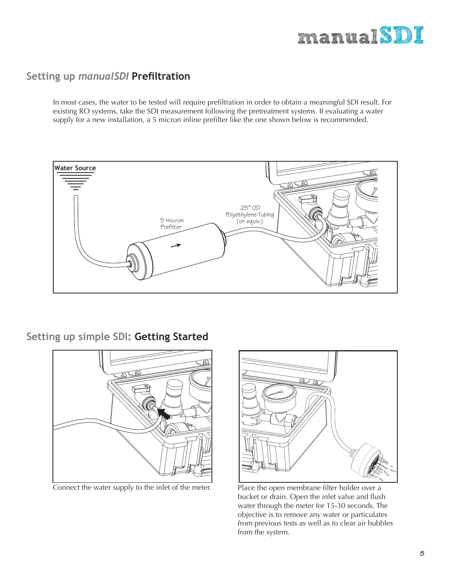

## **Setting up** *manualSDI* **Prefiltration**

In most cases, the water to be tested will require prefiltration in order to obtain a meaningful SDI result. For existing RO systems, take the SDI measurement following the pretreatment systems. If evaluating a water supply for a new installation, a 5 micron inline prefilter like the one shown below is recommended.



**Setting up simple SDI: Getting Started**





Connect the water supply to the inlet of the meter. Place the open membrane filter holder over a bucket or drain. Open the inlet valve and flush water through the meter for 15-30 seconds. The objective is to remove any water or particulates from previous tests as well as to clear air bubbles from the system.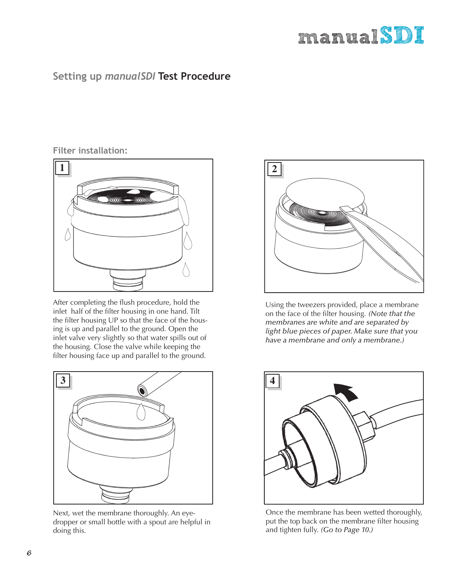# **manualSDI**

# **Setting up** *manualSDI* **Test Procedure**

#### **Filter installation:**



After completing the flush procedure, hold the inlet half of the filter housing in one hand. Tilt the filter housing UP so that the face of the housing is up and parallel to the ground. Open the inlet valve very slightly so that water spills out of the housing. Close the valve while keeping the filter housing face up and parallel to the ground.



Next, wet the membrane thoroughly. An eyedropper or small bottle with a spout are helpful in doing this.



Using the tweezers provided, place a membrane on the face of the filter housing. *(Note that the membranes are white and are separated by light blue pieces of paper. Make sure that you have a membrane and only a membrane.)*



Once the membrane has been wetted thoroughly, put the top back on the membrane filter housing and tighten fully. *(Go to Page 10.)*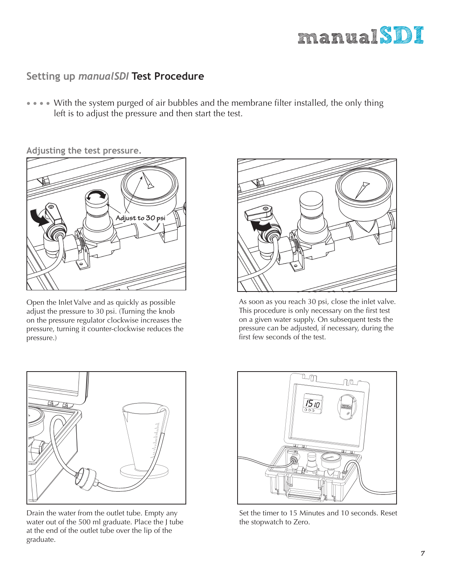

## **Setting up** *manualSDI* **Test Procedure**

• • • • With the system purged of air bubbles and the membrane filter installed, the only thing left is to adjust the pressure and then start the test.

**Adjusting the test pressure.**



Open the Inlet Valve and as quickly as possible adjust the pressure to 30 psi. (Turning the knob on the pressure regulator clockwise increases the pressure, turning it counter-clockwise reduces the pressure.)



As soon as you reach 30 psi, close the inlet valve. This procedure is only necessary on the first test on a given water supply. On subsequent tests the pressure can be adjusted, if necessary, during the first few seconds of the test.



Drain the water from the outlet tube. Empty any water out of the 500 ml graduate. Place the J tube at the end of the outlet tube over the lip of the graduate.



Set the timer to 15 Minutes and 10 seconds. Reset the stopwatch to Zero.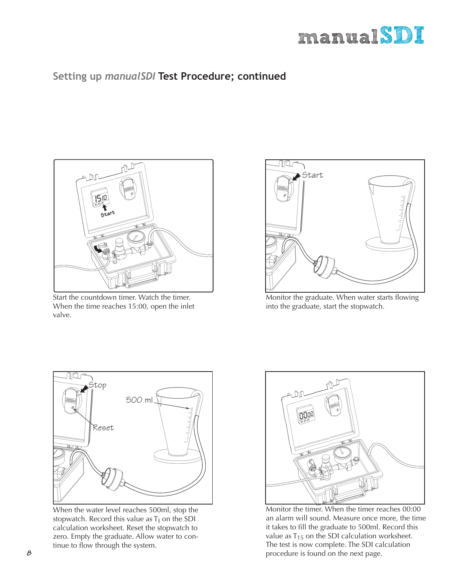

# **Setting up** *manualSDI* **Test Procedure; continued**



Start the countdown timer. Watch the timer. When the time reaches 15:00, open the inlet valve.



Monitor the graduate. When water starts flowing into the graduate, start the stopwatch.



When the water level reaches 500ml, stop the stopwatch. Record this value as T<sub>i</sub> on the SDI calculation worksheet. Reset the stopwatch to zero. Empty the graduate. Allow water to continue to flow through the system.



Monitor the timer. When the timer reaches 00:00 an alarm will sound. Measure once more, the time it takes to fill the graduate to 500ml. Record this value as  $T_{15}$  on the SDI calculation worksheet. The test is now complete. The SDI calculation procedure is found on the next page.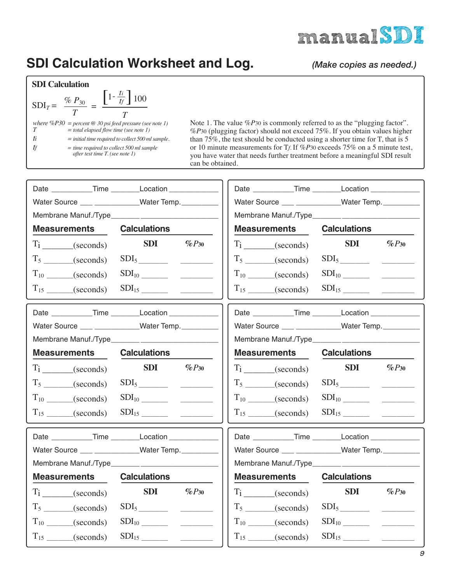

# **SDI Calculation Worksheet and Log.**

*(Make copies as needed.)*

#### **SDI Calculation**

| $SDIT = \frac{\% P_{30}}{2}$ | $\left 1-\frac{ti}{t_f}\right $ 100                                                                            |
|------------------------------|----------------------------------------------------------------------------------------------------------------|
|                              | where $\%P30 =$ percent $\omega$ 30 psi feed pressure (see note 1)<br>$=$ total elapsed flow time (see note 1) |
| ti                           | $=$ initial time required to collect 500 ml sample.                                                            |
|                              | $=$ time required to collect 500 ml sample<br>after test time T. (see note 1)                                  |

Note 1. The value %*P*30 is commonly referred to as the "plugging factor". %*P*30 (plugging factor) should not exceed 75%. If you obtain values higher than 75%, the test should be conducted using a shorter time for T, that is 5 or 10 minute measurements for T*f.* If %*P*30 exceeds 75% on a 5 minute test, you have water that needs further treatment before a meaningful SDI result can be obtained.

| Date ____________Time _________Location ______________ |                     |            |                     | Date ____________Time ________Location ____________  |
|--------------------------------------------------------|---------------------|------------|---------------------|------------------------------------------------------|
| Water Source ___ ____________Water Temp.               |                     |            |                     | Water Source ___ ____________Water Temp.             |
|                                                        |                     |            |                     |                                                      |
| <b>Measurements</b>                                    | <b>Calculations</b> |            | <b>Measurements</b> | <b>Calculations</b>                                  |
| $T_i$ (seconds)                                        | <b>SDI</b>          | $\%P_{30}$ | $T_i$ (seconds)     | <b>SDI</b><br>$\%P_{30}$                             |
| $T_5$ (seconds)                                        |                     |            | $T_5$ (seconds)     |                                                      |
| $T_{10}$ (seconds)                                     |                     |            | $T_{10}$ (seconds)  |                                                      |
| $T_{15}$ (seconds)                                     |                     |            | $T_{15}$ (seconds)  |                                                      |
| Date ____________Time _________Location __________     |                     |            |                     | Date ____________Time ________Location ___________   |
| Water Source ___ ___________Water Temp.                |                     |            |                     | Water Source ___ ____________Water Temp.             |
|                                                        |                     |            |                     |                                                      |
| <b>Measurements</b>                                    | <b>Calculations</b> |            | <b>Measurements</b> | <b>Calculations</b>                                  |
| $T_1$ (seconds)                                        | <b>SDI</b>          | $\%P_{30}$ | $T_1$ (seconds)     | <b>SDI</b><br>$\%P_{30}$                             |
| $T_5$ (seconds)                                        |                     |            | $T_5$ (seconds)     |                                                      |
| $T_{10}$ (seconds)                                     |                     |            | $T_{10}$ (seconds)  |                                                      |
| $T_{15}$ (seconds)                                     |                     |            | $T_{15}$ (seconds)  |                                                      |
| Date ____________Time ________Location _____________   |                     |            |                     | Date ____________Time ________Location _____________ |
| Water Source ___ ___________Water Temp.                |                     |            |                     | Water Source ___ ___________Water Temp._______       |
|                                                        |                     |            |                     |                                                      |
| <b>Measurements</b>                                    | <b>Calculations</b> |            | <b>Measurements</b> | <b>Calculations</b>                                  |
| $T_1$ (seconds)                                        | <b>SDI</b>          | $\%P_{30}$ | $T_i$ (seconds)     | <b>SDI</b><br>$\%P_{30}$                             |
| $T_5$ (seconds)                                        |                     |            | $T_5$ (seconds)     |                                                      |
| $T_{10}$ (seconds)                                     |                     |            | $T_{10}$ (seconds)  |                                                      |
| $T_{15}$ (seconds)                                     |                     |            | $T_{15}$ (seconds)  |                                                      |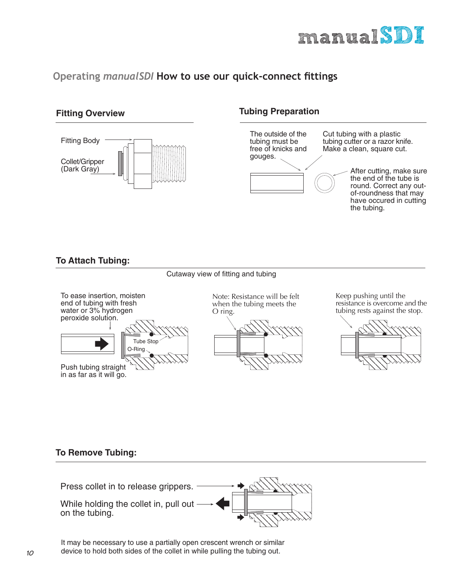

# **Operating manualSDI How to use our quick-connect fittings**

#### **Fitting Overview**



#### **Tubing Preparation**



#### **To Attach Tubing:**

#### Cutaway view of fitting and tubing



Keep pushing until the resistance is overcome and the tubing rests against the stop.



#### **To Remove Tubing:**



It may be necessary to use a partially open crescent wrench or similar device to hold both sides of the collet in while pulling the tubing out.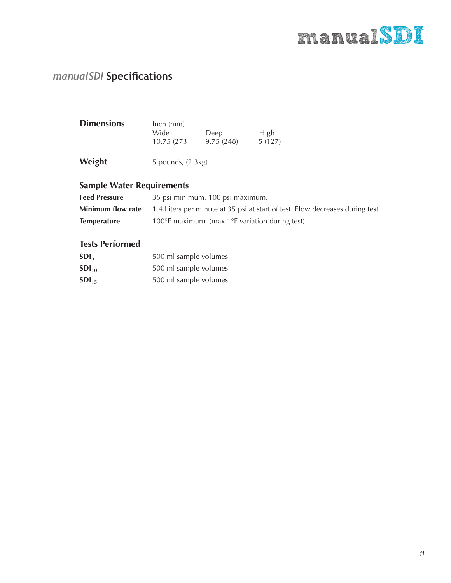# **manualSDI**

# *manualSDI* **Specifications**

| <b>Dimensions</b> | $lnch$ (mm) |           |        |
|-------------------|-------------|-----------|--------|
|                   | Wide        | Deep      | High   |
|                   | 10.75 (273) | 9.75(248) | 5(127) |
|                   |             |           |        |

| Weight | 5 pounds, (2.3kg) |
|--------|-------------------|
|--------|-------------------|

# **Sample Water Requirements**

| <b>Feed Pressure</b> | 35 psi minimum, 100 psi maximum.                                                                       |
|----------------------|--------------------------------------------------------------------------------------------------------|
|                      | <b>Minimum flow rate</b> 1.4 Liters per minute at 35 psi at start of test. Flow decreases during test. |
| <b>Temperature</b>   | 100 $\degree$ F maximum. (max 1 $\degree$ F variation during test)                                     |

#### **Tests Performed**

| SDI <sub>5</sub> | 500 ml sample volumes |
|------------------|-----------------------|
| $SDI_{10}$       | 500 ml sample volumes |
| $SDI_{15}$       | 500 ml sample volumes |